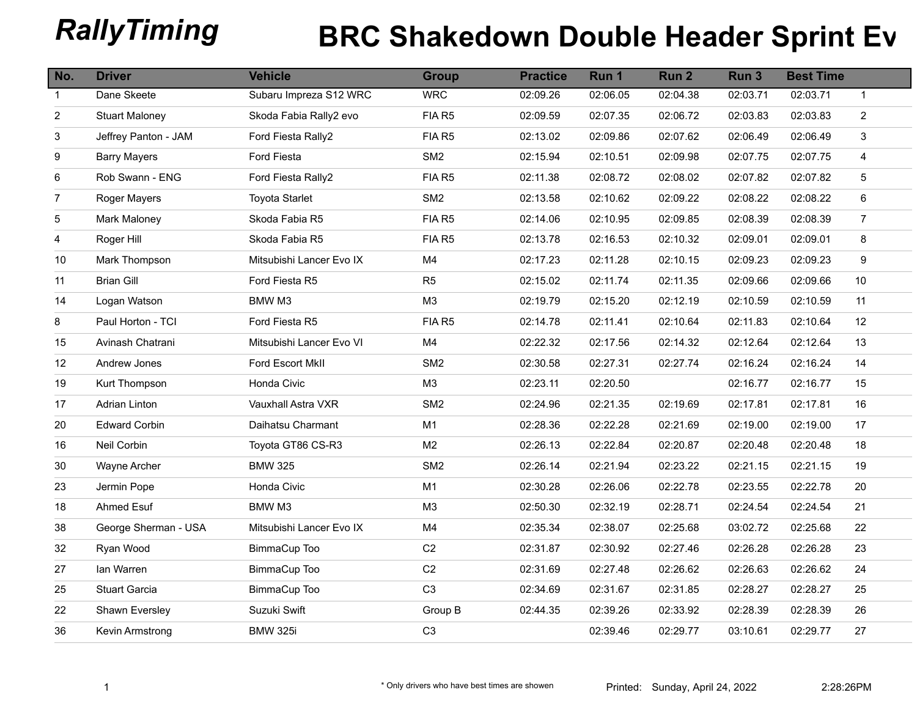## **RallyTiming BRC Shakedown Double Header Sprint Event 2022**

| No.            | <b>Driver</b>         | <b>Vehicle</b>           | <b>Group</b>    | <b>Practice</b> | Run 1    | Run <sub>2</sub> | Run <sub>3</sub> | <b>Best Time</b> |                         |
|----------------|-----------------------|--------------------------|-----------------|-----------------|----------|------------------|------------------|------------------|-------------------------|
| $\mathbf{1}$   | Dane Skeete           | Subaru Impreza S12 WRC   | <b>WRC</b>      | 02:09.26        | 02:06.05 | 02:04.38         | 02:03.71         | 02:03.71         | $\mathbf{1}$            |
| $\overline{2}$ | <b>Stuart Maloney</b> | Skoda Fabia Rally2 evo   | FIA R5          | 02:09.59        | 02:07.35 | 02:06.72         | 02:03.83         | 02:03.83         | $\overline{a}$          |
| 3              | Jeffrey Panton - JAM  | Ford Fiesta Rally2       | FIA R5          | 02:13.02        | 02:09.86 | 02:07.62         | 02:06.49         | 02:06.49         | 3                       |
| 9              | <b>Barry Mayers</b>   | Ford Fiesta              | SM <sub>2</sub> | 02:15.94        | 02:10.51 | 02:09.98         | 02:07.75         | 02:07.75         | $\overline{\mathbf{4}}$ |
| 6              | Rob Swann - ENG       | Ford Fiesta Rally2       | FIA R5          | 02:11.38        | 02:08.72 | 02:08.02         | 02:07.82         | 02:07.82         | $\sqrt{5}$              |
| $\overline{7}$ | Roger Mayers          | <b>Toyota Starlet</b>    | SM <sub>2</sub> | 02:13.58        | 02:10.62 | 02:09.22         | 02:08.22         | 02:08.22         | 6                       |
| 5              | Mark Maloney          | Skoda Fabia R5           | FIA R5          | 02:14.06        | 02:10.95 | 02:09.85         | 02:08.39         | 02:08.39         | $\overline{7}$          |
| 4              | Roger Hill            | Skoda Fabia R5           | FIA R5          | 02:13.78        | 02:16.53 | 02:10.32         | 02:09.01         | 02:09.01         | 8                       |
| $10$           | Mark Thompson         | Mitsubishi Lancer Evo IX | M4              | 02:17.23        | 02:11.28 | 02:10.15         | 02:09.23         | 02:09.23         | 9                       |
| 11             | <b>Brian Gill</b>     | Ford Fiesta R5           | R <sub>5</sub>  | 02:15.02        | 02:11.74 | 02:11.35         | 02:09.66         | 02:09.66         | 10                      |
| 14             | Logan Watson          | BMW M3                   | M3              | 02:19.79        | 02:15.20 | 02:12.19         | 02:10.59         | 02:10.59         | 11                      |
| 8              | Paul Horton - TCI     | Ford Fiesta R5           | FIA R5          | 02:14.78        | 02:11.41 | 02:10.64         | 02:11.83         | 02:10.64         | 12                      |
| 15             | Avinash Chatrani      | Mitsubishi Lancer Evo VI | M4              | 02:22.32        | 02:17.56 | 02:14.32         | 02:12.64         | 02:12.64         | 13                      |
| 12             | Andrew Jones          | Ford Escort MkII         | SM <sub>2</sub> | 02:30.58        | 02:27.31 | 02:27.74         | 02:16.24         | 02:16.24         | 14                      |
| 19             | Kurt Thompson         | Honda Civic              | M3              | 02:23.11        | 02:20.50 |                  | 02:16.77         | 02:16.77         | 15                      |
| 17             | Adrian Linton         | Vauxhall Astra VXR       | SM <sub>2</sub> | 02:24.96        | 02:21.35 | 02:19.69         | 02:17.81         | 02:17.81         | 16                      |
| 20             | <b>Edward Corbin</b>  | Daihatsu Charmant        | M1              | 02:28.36        | 02:22.28 | 02:21.69         | 02:19.00         | 02:19.00         | 17                      |
| 16             | Neil Corbin           | Toyota GT86 CS-R3        | M <sub>2</sub>  | 02:26.13        | 02:22.84 | 02:20.87         | 02:20.48         | 02:20.48         | 18                      |
| 30             | Wayne Archer          | <b>BMW 325</b>           | SM <sub>2</sub> | 02:26.14        | 02:21.94 | 02:23.22         | 02:21.15         | 02:21.15         | 19                      |
| 23             | Jermin Pope           | Honda Civic              | M1              | 02:30.28        | 02:26.06 | 02:22.78         | 02:23.55         | 02:22.78         | 20                      |
| $18$           | Ahmed Esuf            | BMW M3                   | M <sub>3</sub>  | 02:50.30        | 02:32.19 | 02:28.71         | 02:24.54         | 02:24.54         | 21                      |
| 38             | George Sherman - USA  | Mitsubishi Lancer Evo IX | M4              | 02:35.34        | 02:38.07 | 02:25.68         | 03:02.72         | 02:25.68         | 22                      |
| 32             | Ryan Wood             | BimmaCup Too             | C <sub>2</sub>  | 02:31.87        | 02:30.92 | 02:27.46         | 02:26.28         | 02:26.28         | 23                      |
| 27             | lan Warren            | BimmaCup Too             | C <sub>2</sub>  | 02:31.69        | 02:27.48 | 02:26.62         | 02:26.63         | 02:26.62         | 24                      |
| 25             | Stuart Garcia         | BimmaCup Too             | C <sub>3</sub>  | 02:34.69        | 02:31.67 | 02:31.85         | 02:28.27         | 02:28.27         | 25                      |
| 22             | Shawn Eversley        | Suzuki Swift             | Group B         | 02:44.35        | 02:39.26 | 02:33.92         | 02:28.39         | 02:28.39         | 26                      |
| 36             | Kevin Armstrong       | <b>BMW 325i</b>          | C <sub>3</sub>  |                 | 02:39.46 | 02:29.77         | 03:10.61         | 02:29.77         | 27                      |